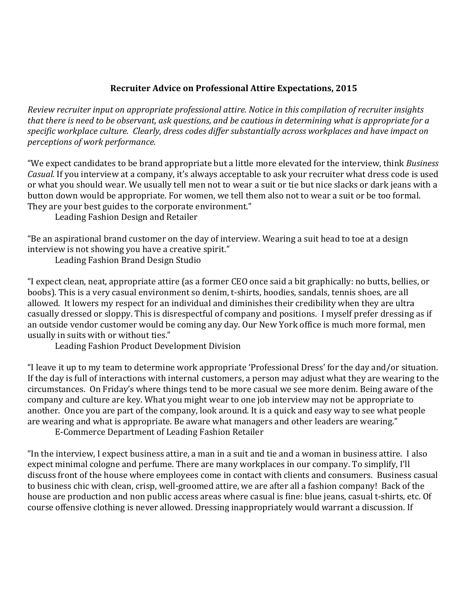## **Recruiter Advice on Professional Attire Expectations, 2015**

*Review recruiter input on appropriate professional attire. Notice in this compilation of recruiter insights that there is need to be observant, ask questions, and be cautious in determining what is appropriate for a specific workplace culture. Clearly, dress codes differ substantially across workplaces and have impact on perceptions of work performance.*

"We expect candidates to be brand appropriate but a little more elevated for the interview, think *Business Casual.* If you interview at a company, it's always acceptable to ask your recruiter what dress code is used or what you should wear. We usually tell men not to wear a suit or tie but nice slacks or dark jeans with a button down would be appropriate. For women, we tell them also not to wear a suit or be too formal. They are your best guides to the corporate environment."

Leading Fashion Design and Retailer

"Be an aspirational brand customer on the day of interview. Wearing a suit head to toe at a design interview is not showing you have a creative spirit."

Leading Fashion Brand Design Studio

"I expect clean, neat, appropriate attire (as a former CEO once said a bit graphically: no butts, bellies, or boobs). This is a very casual environment so denim, t-shirts, hoodies, sandals, tennis shoes, are all allowed. It lowers my respect for an individual and diminishes their credibility when they are ultra casually dressed or sloppy. This is disrespectful of company and positions. I myself prefer dressing as if an outside vendor customer would be coming any day. Our New York office is much more formal, men usually in suits with or without ties."

Leading Fashion Product Development Division

"I leave it up to my team to determine work appropriate 'Professional Dress' for the day and/or situation. If the day is full of interactions with internal customers, a person may adjust what they are wearing to the circumstances. On Friday's where things tend to be more casual we see more denim. Being aware of the company and culture are key. What you might wear to one job interview may not be appropriate to another. Once you are part of the company, look around. It is a quick and easy way to see what people are wearing and what is appropriate. Be aware what managers and other leaders are wearing."

E-Commerce Department of Leading Fashion Retailer

"In the interview, I expect business attire, a man in a suit and tie and a woman in business attire. I also expect minimal cologne and perfume. There are many workplaces in our company. To simplify, I'll discuss front of the house where employees come in contact with clients and consumers. Business casual to business chic with clean, crisp, well-groomed attire, we are after all a fashion company! Back of the house are production and non public access areas where casual is fine: blue jeans, casual t-shirts, etc. Of course offensive clothing is never allowed. Dressing inappropriately would warrant a discussion. If